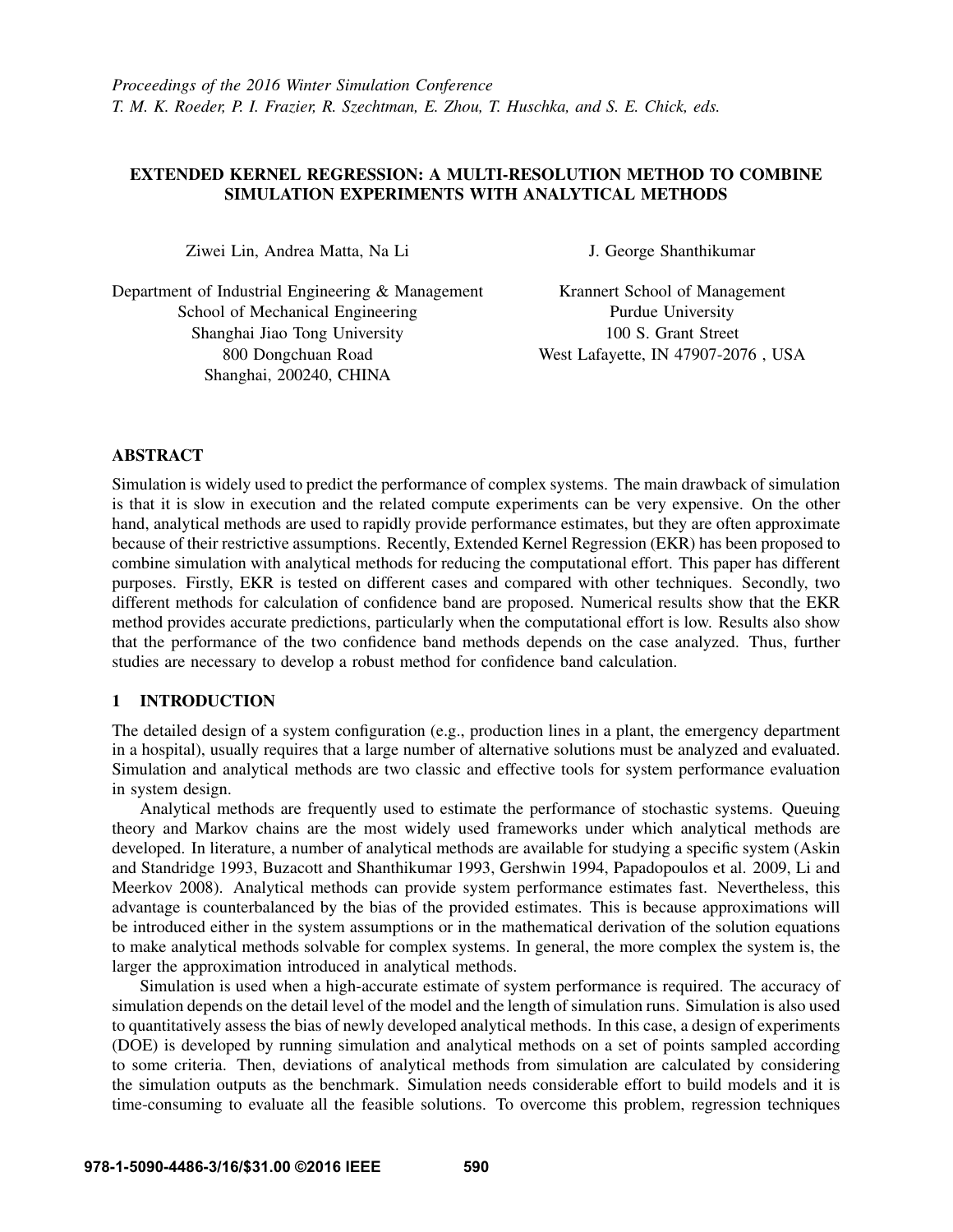# EXTENDED KERNEL REGRESSION: A MULTI-RESOLUTION METHOD TO COMBINE SIMULATION EXPERIMENTS WITH ANALYTICAL METHODS

Ziwei Lin, Andrea Matta, Na Li

Department of Industrial Engineering & Management School of Mechanical Engineering Shanghai Jiao Tong University 800 Dongchuan Road Shanghai, 200240, CHINA

J. George Shanthikumar

Krannert School of Management Purdue University 100 S. Grant Street West Lafayette, IN 47907-2076 , USA

### ABSTRACT

Simulation is widely used to predict the performance of complex systems. The main drawback of simulation is that it is slow in execution and the related compute experiments can be very expensive. On the other hand, analytical methods are used to rapidly provide performance estimates, but they are often approximate because of their restrictive assumptions. Recently, Extended Kernel Regression (EKR) has been proposed to combine simulation with analytical methods for reducing the computational effort. This paper has different purposes. Firstly, EKR is tested on different cases and compared with other techniques. Secondly, two different methods for calculation of confidence band are proposed. Numerical results show that the EKR method provides accurate predictions, particularly when the computational effort is low. Results also show that the performance of the two confidence band methods depends on the case analyzed. Thus, further studies are necessary to develop a robust method for confidence band calculation.

# 1 INTRODUCTION

The detailed design of a system configuration (e.g., production lines in a plant, the emergency department in a hospital), usually requires that a large number of alternative solutions must be analyzed and evaluated. Simulation and analytical methods are two classic and effective tools for system performance evaluation in system design.

Analytical methods are frequently used to estimate the performance of stochastic systems. Queuing theory and Markov chains are the most widely used frameworks under which analytical methods are developed. In literature, a number of analytical methods are available for studying a specific system (Askin and Standridge 1993, Buzacott and Shanthikumar 1993, Gershwin 1994, Papadopoulos et al. 2009, Li and Meerkov 2008). Analytical methods can provide system performance estimates fast. Nevertheless, this advantage is counterbalanced by the bias of the provided estimates. This is because approximations will be introduced either in the system assumptions or in the mathematical derivation of the solution equations to make analytical methods solvable for complex systems. In general, the more complex the system is, the larger the approximation introduced in analytical methods.

Simulation is used when a high-accurate estimate of system performance is required. The accuracy of simulation depends on the detail level of the model and the length of simulation runs. Simulation is also used to quantitatively assess the bias of newly developed analytical methods. In this case, a design of experiments (DOE) is developed by running simulation and analytical methods on a set of points sampled according to some criteria. Then, deviations of analytical methods from simulation are calculated by considering the simulation outputs as the benchmark. Simulation needs considerable effort to build models and it is time-consuming to evaluate all the feasible solutions. To overcome this problem, regression techniques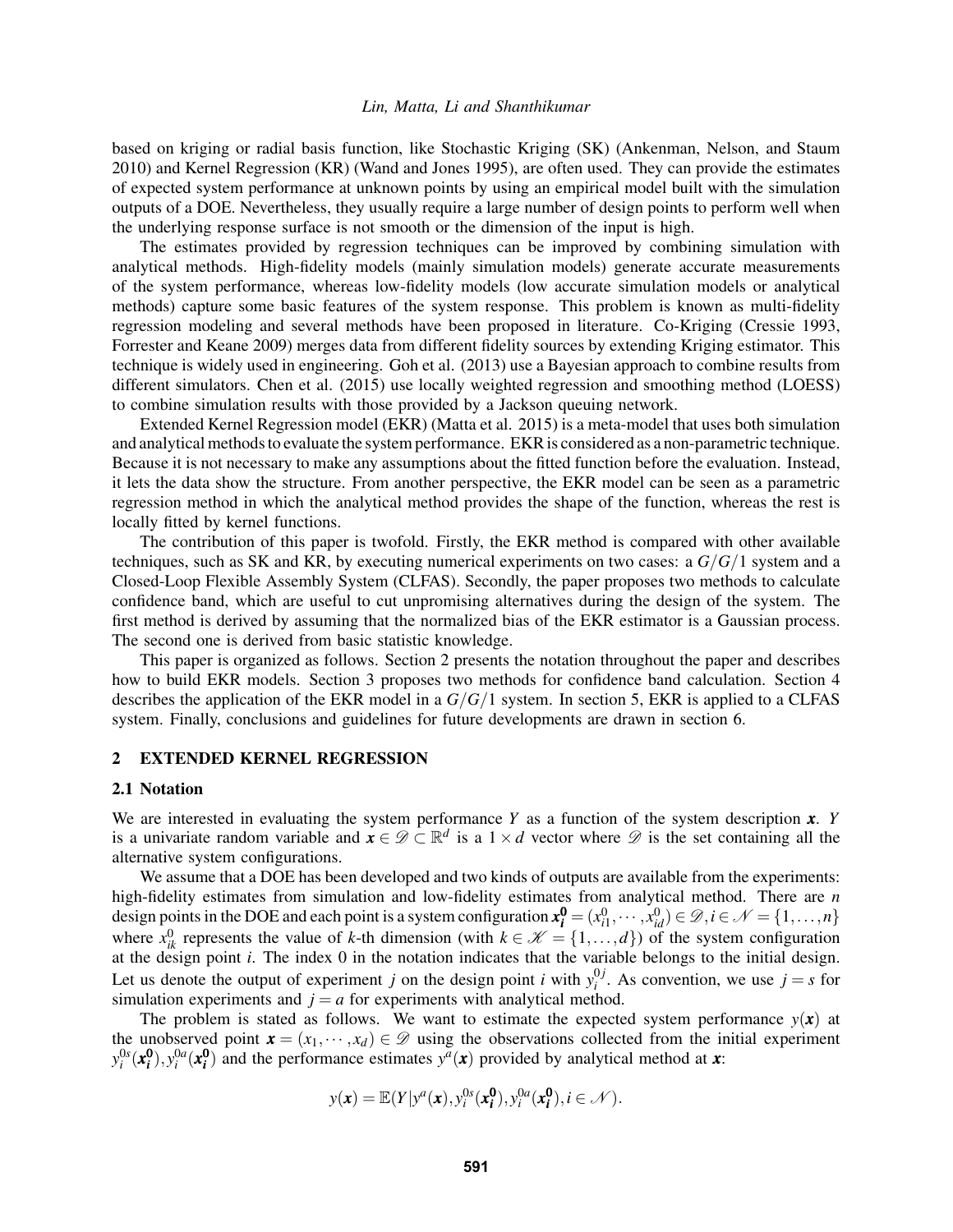based on kriging or radial basis function, like Stochastic Kriging (SK) (Ankenman, Nelson, and Staum 2010) and Kernel Regression (KR) (Wand and Jones 1995), are often used. They can provide the estimates of expected system performance at unknown points by using an empirical model built with the simulation outputs of a DOE. Nevertheless, they usually require a large number of design points to perform well when the underlying response surface is not smooth or the dimension of the input is high.

The estimates provided by regression techniques can be improved by combining simulation with analytical methods. High-fidelity models (mainly simulation models) generate accurate measurements of the system performance, whereas low-fidelity models (low accurate simulation models or analytical methods) capture some basic features of the system response. This problem is known as multi-fidelity regression modeling and several methods have been proposed in literature. Co-Kriging (Cressie 1993, Forrester and Keane 2009) merges data from different fidelity sources by extending Kriging estimator. This technique is widely used in engineering. Goh et al. (2013) use a Bayesian approach to combine results from different simulators. Chen et al. (2015) use locally weighted regression and smoothing method (LOESS) to combine simulation results with those provided by a Jackson queuing network.

Extended Kernel Regression model (EKR) (Matta et al. 2015) is a meta-model that uses both simulation and analytical methods to evaluate the system performance. EKR is considered as a non-parametric technique. Because it is not necessary to make any assumptions about the fitted function before the evaluation. Instead, it lets the data show the structure. From another perspective, the EKR model can be seen as a parametric regression method in which the analytical method provides the shape of the function, whereas the rest is locally fitted by kernel functions.

The contribution of this paper is twofold. Firstly, the EKR method is compared with other available techniques, such as SK and KR, by executing numerical experiments on two cases: a *G*/*G*/1 system and a Closed-Loop Flexible Assembly System (CLFAS). Secondly, the paper proposes two methods to calculate confidence band, which are useful to cut unpromising alternatives during the design of the system. The first method is derived by assuming that the normalized bias of the EKR estimator is a Gaussian process. The second one is derived from basic statistic knowledge.

This paper is organized as follows. Section 2 presents the notation throughout the paper and describes how to build EKR models. Section 3 proposes two methods for confidence band calculation. Section 4 describes the application of the EKR model in a *G*/*G*/1 system. In section 5, EKR is applied to a CLFAS system. Finally, conclusions and guidelines for future developments are drawn in section 6.

#### 2 EXTENDED KERNEL REGRESSION

#### 2.1 Notation

We are interested in evaluating the system performance *Y* as a function of the system description *x*. *Y* is a univariate random variable and  $\mathbf{x} \in \mathcal{D} \subset \mathbb{R}^d$  is a  $1 \times d$  vector where  $\mathcal D$  is the set containing all the alternative system configurations.

We assume that a DOE has been developed and two kinds of outputs are available from the experiments: high-fidelity estimates from simulation and low-fidelity estimates from analytical method. There are *n* design points in the DOE and each point is a system configuration  $x_i^0 = (x_{i1}^0, \dots, x_{id}^0) \in \mathcal{D}, i \in \mathcal{N} = \{1, \dots, n\}$ where  $x_{ik}^0$  represents the value of *k*-th dimension (with  $k \in \mathcal{K} = \{1, ..., d\}$ ) of the system configuration at the design point *i*. The index 0 in the notation indicates that the variable belongs to the initial design. Let us denote the output of experiment *j* on the design point *i* with  $y_i^{0j}$  $i_j^{(j)}$ . As convention, we use  $j = s$  for simulation experiments and  $j = a$  for experiments with analytical method.

The problem is stated as follows. We want to estimate the expected system performance  $y(x)$  at the unobserved point  $\mathbf{x} = (x_1, \dots, x_d) \in \mathcal{D}$  using the observations collected from the initial experiment  $y_i^{0s}$  ( $x_i^0$ ),  $y_i^{0a}$  ( $x_i^0$ ) and the performance estimates  $y^a$  (*x*) provided by analytical method at *x*:

$$
y(\mathbf{x}) = \mathbb{E}(Y | y^a(\mathbf{x}), y_i^{0s}(\mathbf{x}_i^0), y_i^{0a}(\mathbf{x}_i^0), i \in \mathcal{N}).
$$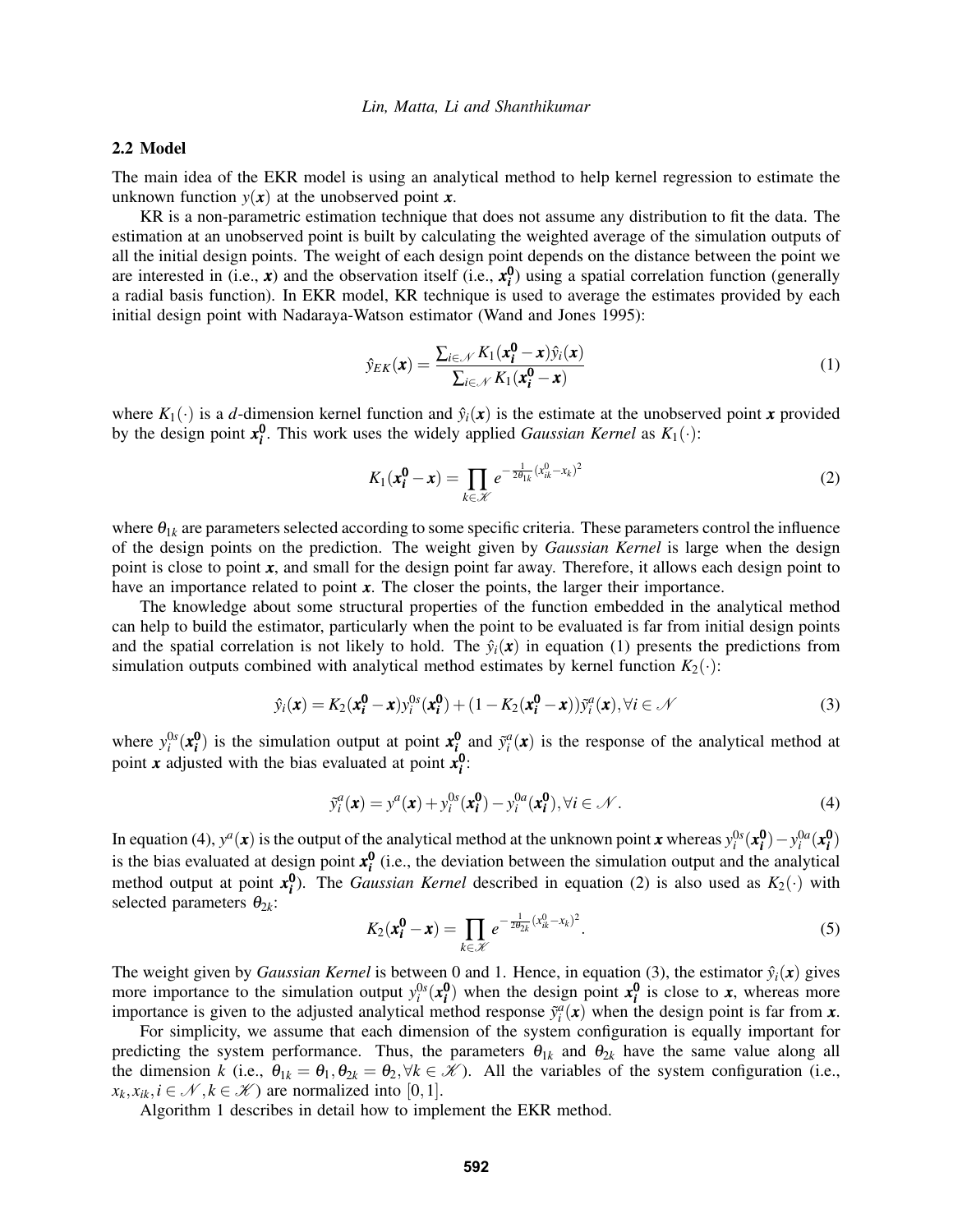### 2.2 Model

The main idea of the EKR model is using an analytical method to help kernel regression to estimate the unknown function  $y(x)$  at the unobserved point  $x$ .

KR is a non-parametric estimation technique that does not assume any distribution to fit the data. The estimation at an unobserved point is built by calculating the weighted average of the simulation outputs of all the initial design points. The weight of each design point depends on the distance between the point we are interested in (i.e.,  $x$ ) and the observation itself (i.e.,  $x_i^0$ ) using a spatial correlation function (generally a radial basis function). In EKR model, KR technique is used to average the estimates provided by each initial design point with Nadaraya-Watson estimator (Wand and Jones 1995):

$$
\hat{y}_{EK}(\boldsymbol{x}) = \frac{\sum_{i \in \mathcal{N}} K_1(\boldsymbol{x_i^0} - \boldsymbol{x}) \hat{y}_i(\boldsymbol{x})}{\sum_{i \in \mathcal{N}} K_1(\boldsymbol{x_i^0} - \boldsymbol{x})}
$$
(1)

where  $K_1(\cdot)$  is a *d*-dimension kernel function and  $\hat{y}_i(\mathbf{x})$  is the estimate at the unobserved point **x** provided by the design point  $x_i^0$ . This work uses the widely applied *Gaussian Kernel* as  $K_1(\cdot)$ :

$$
K_1(\mathbf{x}_i^0 - \mathbf{x}) = \prod_{k \in \mathcal{K}} e^{-\frac{1}{2\theta_{1k}} (x_{ik}^0 - x_k)^2}
$$
(2)

where  $\theta_{1k}$  are parameters selected according to some specific criteria. These parameters control the influence of the design points on the prediction. The weight given by *Gaussian Kernel* is large when the design point is close to point *x*, and small for the design point far away. Therefore, it allows each design point to have an importance related to point x. The closer the points, the larger their importance.

The knowledge about some structural properties of the function embedded in the analytical method can help to build the estimator, particularly when the point to be evaluated is far from initial design points and the spatial correlation is not likely to hold. The  $\hat{y}_i(\mathbf{x})$  in equation (1) presents the predictions from simulation outputs combined with analytical method estimates by kernel function  $K_2(\cdot)$ :

$$
\hat{y}_i(\mathbf{x}) = K_2(\mathbf{x_i^0} - \mathbf{x}) y_i^{0s}(\mathbf{x_i^0}) + (1 - K_2(\mathbf{x_i^0} - \mathbf{x})) \tilde{y}_i^a(\mathbf{x}), \forall i \in \mathcal{N}
$$
\n(3)

where  $y_i^{0s}$  ( $x_i^0$ ) is the simulation output at point  $x_i^0$  and  $\tilde{y}_i^a(x)$  is the response of the analytical method at point *x* adjusted with the bias evaluated at point  $x_i^0$ :

$$
\tilde{y}_i^a(\mathbf{x}) = y^a(\mathbf{x}) + y_i^{0s}(\mathbf{x}_i^0) - y_i^{0a}(\mathbf{x}_i^0), \forall i \in \mathcal{N}.
$$
\n(4)

In equation (4),  $y^a(x)$  is the output of the analytical method at the unknown point *x* whereas  $y_i^{0s}(x_i^0) - y_i^{0a}(x_i^0)$ is the bias evaluated at design point  $x_i^0$  (i.e., the deviation between the simulation output and the analytical method output at point  $x_i^0$ ). The *Gaussian Kernel* described in equation (2) is also used as  $K_2(\cdot)$  with selected parameters  $\theta_{2k}$ :

$$
K_2(\mathbf{x}_i^0 - \mathbf{x}) = \prod_{k \in \mathcal{K}} e^{-\frac{1}{2\theta_{2k}} (x_{ik}^0 - x_k)^2}.
$$
 (5)

The weight given by *Gaussian Kernel* is between 0 and 1. Hence, in equation (3), the estimator  $\hat{y}_i(\mathbf{x})$  gives more importance to the simulation output  $y_i^{0s}$   $(x_i^0)$  when the design point  $x_i^0$  is close to *x*, whereas more importance is given to the adjusted analytical method response  $\tilde{y}_i^a(\mathbf{x})$  when the design point is far from  $\mathbf{x}$ .

For simplicity, we assume that each dimension of the system configuration is equally important for predicting the system performance. Thus, the parameters  $\theta_{1k}$  and  $\theta_{2k}$  have the same value along all the dimension *k* (i.e.,  $\theta_{1k} = \theta_1, \theta_{2k} = \theta_2, \forall k \in \mathcal{K}$ ). All the variables of the system configuration (i.e.,  $x_k, x_{ik}, i \in \mathcal{N}, k \in \mathcal{K}$  are normalized into [0,1].

Algorithm 1 describes in detail how to implement the EKR method.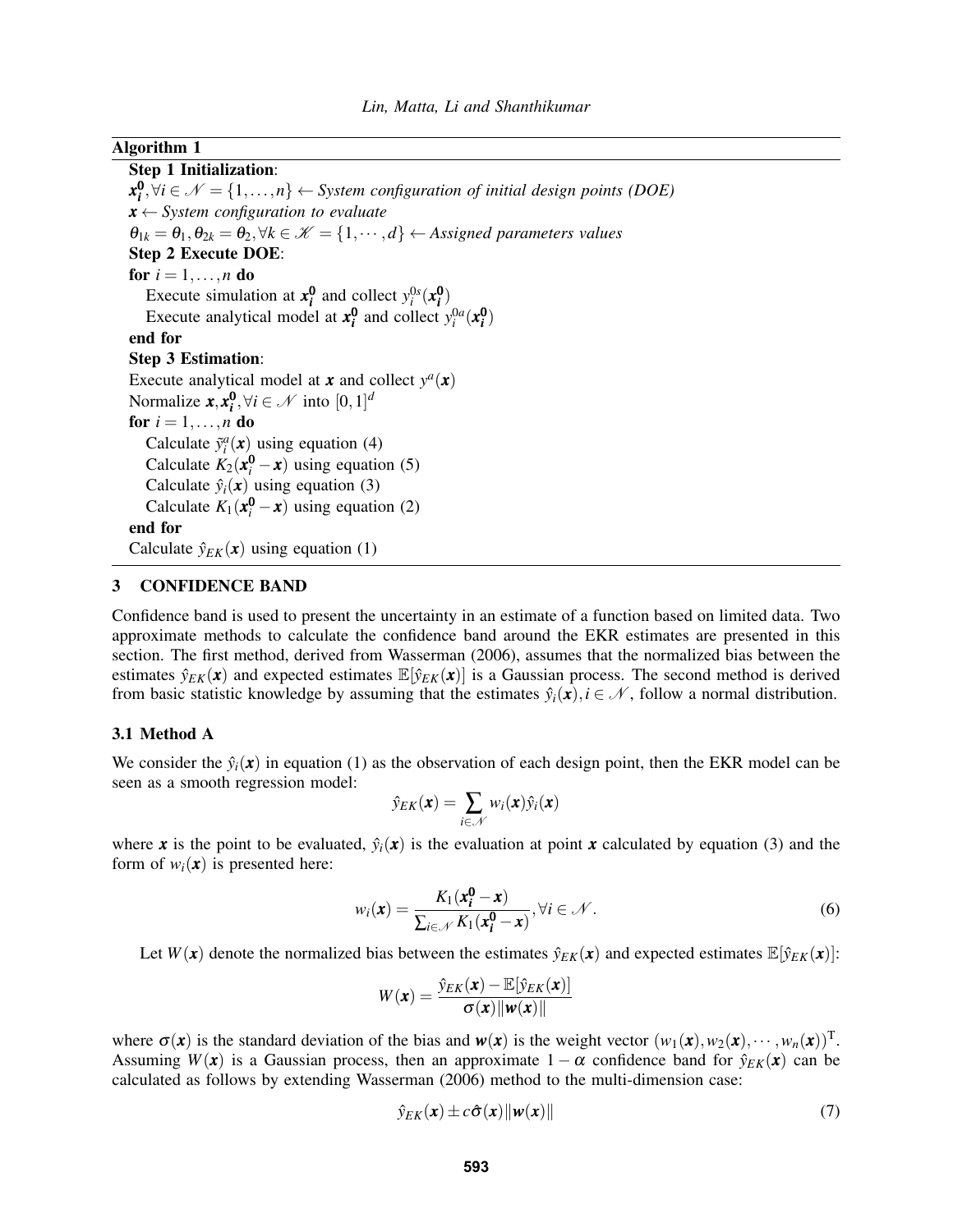### Algorithm 1

Step 1 Initialization:  $\mathbf{x}_i^0, \forall i \in \mathcal{N} = \{1, \ldots, n\}$  ← *System configuration of initial design points (DOE) x* ← *System configuration to evaluate*  $\theta_{1k} = \theta_1, \theta_{2k} = \theta_2, \forall k \in \mathcal{K} = \{1, \dots, d\} \leftarrow$  *Assigned parameters values* Step 2 Execute DOE: for  $i = 1, \ldots, n$  do Execute simulation at  $x_i^0$  and collect  $y_i^{0s}(x_i^0)$ Execute analytical model at  $x_i^0$  and collect  $y_i^{0a}(x_i^0)$ end for Step 3 Estimation: Execute analytical model at  $\boldsymbol{x}$  and collect  $y^a(\boldsymbol{x})$ Normalize  $\mathbf{x}, \mathbf{x}_i^0, \forall i \in \mathcal{N}$  into  $[0, 1]^d$ for  $i = 1, \ldots, n$  do Calculate  $\tilde{y}_i^a(\mathbf{x})$  using equation (4) Calculate  $K_2(\mathbf{x}_i^0 - \mathbf{x})$  using equation (5) Calculate  $\hat{y}_i(\mathbf{x})$  using equation (3) Calculate  $K_1(x_i^0 - x)$  using equation (2) end for Calculate  $\hat{y}_{EK}(\mathbf{x})$  using equation (1)

### 3 CONFIDENCE BAND

Confidence band is used to present the uncertainty in an estimate of a function based on limited data. Two approximate methods to calculate the confidence band around the EKR estimates are presented in this section. The first method, derived from Wasserman (2006), assumes that the normalized bias between the estimates  $\hat{y}_{EK}(\mathbf{x})$  and expected estimates  $\mathbb{E}[\hat{y}_{EK}(\mathbf{x})]$  is a Gaussian process. The second method is derived from basic statistic knowledge by assuming that the estimates  $\hat{y}_i(\mathbf{x}), i \in \mathcal{N}$ , follow a normal distribution.

### 3.1 Method A

We consider the  $\hat{y}_i(\mathbf{x})$  in equation (1) as the observation of each design point, then the EKR model can be seen as a smooth regression model:

$$
\hat{y}_{EK}(\boldsymbol{x}) = \sum_{i \in \mathcal{N}} w_i(\boldsymbol{x}) \hat{y}_i(\boldsymbol{x})
$$

where *x* is the point to be evaluated,  $\hat{y}_i(x)$  is the evaluation at point *x* calculated by equation (3) and the form of  $w_i(\mathbf{x})$  is presented here:

$$
w_i(\mathbf{x}) = \frac{K_1(\mathbf{x}_i^0 - \mathbf{x})}{\sum_{i \in \mathcal{N}} K_1(\mathbf{x}_i^0 - \mathbf{x})}, \forall i \in \mathcal{N}.
$$
 (6)

Let  $W(x)$  denote the normalized bias between the estimates  $\hat{y}_{EK}(x)$  and expected estimates  $\mathbb{E}[\hat{y}_{EK}(x)]$ :

$$
W(\pmb{x}) = \frac{\hat{y}_{EK}(\pmb{x}) - \mathbb{E}[\hat{y}_{EK}(\pmb{x})]}{\sigma(\pmb{x}) \|\pmb{w}(\pmb{x})\|}
$$

where  $\sigma(\mathbf{x})$  is the standard deviation of the bias and  $\mathbf{w}(\mathbf{x})$  is the weight vector  $(w_1(\mathbf{x}), w_2(\mathbf{x}), \cdots, w_n(\mathbf{x}))^{\text{T}}$ . Assuming  $W(x)$  is a Gaussian process, then an approximate  $1 - \alpha$  confidence band for  $\hat{y}_{EK}(x)$  can be calculated as follows by extending Wasserman (2006) method to the multi-dimension case:

$$
\hat{y}_{EK}(\mathbf{x}) \pm c\hat{\sigma}(\mathbf{x}) \|\mathbf{w}(\mathbf{x})\| \tag{7}
$$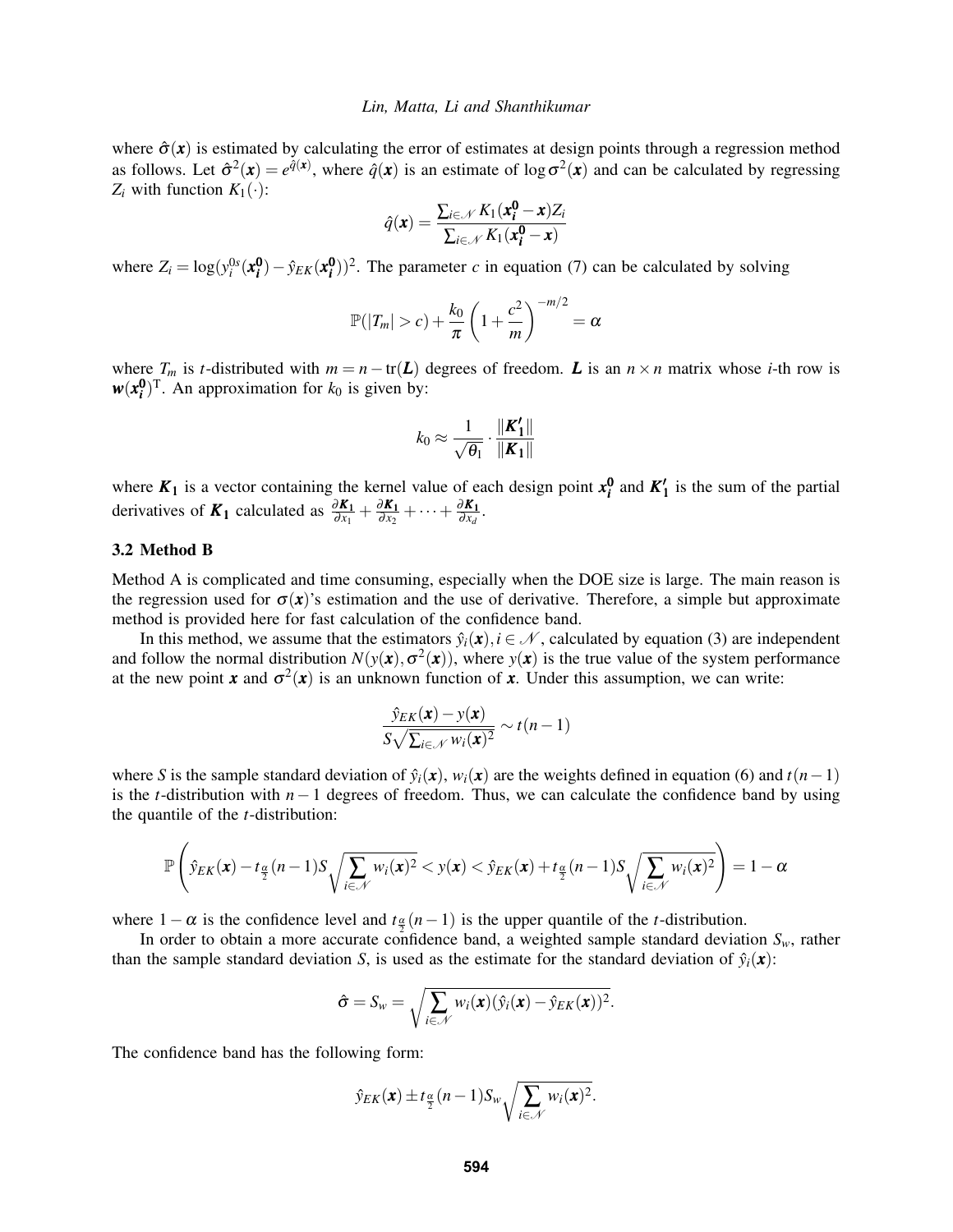where  $\hat{\sigma}(x)$  is estimated by calculating the error of estimates at design points through a regression method as follows. Let  $\hat{\sigma}^2(\mathbf{x}) = e^{\hat{q}(\mathbf{x})}$ , where  $\hat{q}(\mathbf{x})$  is an estimate of log  $\sigma^2(\mathbf{x})$  and can be calculated by regressing  $Z_i$  with function  $K_1(\cdot)$ :

$$
\hat{q}(\boldsymbol{x}) = \frac{\sum_{i \in \mathcal{N}} K_1(\boldsymbol{x_i^0} - \boldsymbol{x}) Z_i}{\sum_{i \in \mathcal{N}} K_1(\boldsymbol{x_i^0} - \boldsymbol{x})}
$$

where  $Z_i = \log(y_i^{0s}(\mathbf{x_i^0}) - \hat{y}_{EK}(\mathbf{x_i^0}))^2$ . The parameter *c* in equation (7) can be calculated by solving

$$
\mathbb{P}(|T_m|>c)+\frac{k_0}{\pi}\left(1+\frac{c^2}{m}\right)^{-m/2}=\alpha
$$

where  $T_m$  is *t*-distributed with  $m = n - \text{tr}(L)$  degrees of freedom. *L* is an  $n \times n$  matrix whose *i*-th row is  $w(x_i^0)$ <sup>T</sup>. An approximation for  $k_0$  is given by:

$$
k_0 \approx \frac{1}{\sqrt{\theta_1}} \cdot \frac{\|\textbf{\textit{K}}'_1\|}{\|\textbf{\textit{K}}_1\|}
$$

where  $K_1$  is a vector containing the kernel value of each design point  $x_i^0$  and  $K'_1$  is the sum of the partial derivatives of  $K_1$  calculated as  $\frac{\partial K_1}{\partial x_1} + \frac{\partial K_1}{\partial x_2}$  $\frac{\partial K_1}{\partial x_2} + \cdots + \frac{\partial K_1}{\partial x_d}$  $\frac{\partial \mathbf{A_1}}{\partial x_d}$ .

### 3.2 Method B

Method A is complicated and time consuming, especially when the DOE size is large. The main reason is the regression used for  $\sigma(x)$ 's estimation and the use of derivative. Therefore, a simple but approximate method is provided here for fast calculation of the confidence band.

In this method, we assume that the estimators  $\hat{y}_i(\mathbf{x}), i \in \mathcal{N}$ , calculated by equation (3) are independent and follow the normal distribution  $N(y(x), \sigma^2(x))$ , where  $y(x)$  is the true value of the system performance at the new point *x* and  $\sigma^2(x)$  is an unknown function of *x*. Under this assumption, we can write:

$$
\frac{\hat{y}_{EK}(\mathbf{x}) - y(\mathbf{x})}{S\sqrt{\sum_{i \in \mathcal{N}} w_i(\mathbf{x})^2}} \sim t(n-1)
$$

where *S* is the sample standard deviation of  $\hat{y}_i(\mathbf{x})$ ,  $w_i(\mathbf{x})$  are the weights defined in equation (6) and  $t(n-1)$ is the *t*-distribution with *n*−1 degrees of freedom. Thus, we can calculate the confidence band by using the quantile of the *t*-distribution:

$$
\mathbb{P}\left(\hat{y}_{EK}(\boldsymbol{x})-t_{\frac{\alpha}{2}}(n-1)S\sqrt{\sum_{i\in\mathcal{N}}w_i(\boldsymbol{x})^2}
$$

where  $1 - \alpha$  is the confidence level and  $t \frac{\alpha}{2}(n-1)$  is the upper quantile of the *t*-distribution.

In order to obtain a more accurate confidence band, a weighted sample standard deviation  $S_w$ , rather than the sample standard deviation *S*, is used as the estimate for the standard deviation of  $\hat{y}_i(\mathbf{x})$ :

$$
\hat{\sigma} = S_w = \sqrt{\sum_{i \in \mathcal{N}} w_i(\mathbf{x}) (\hat{y}_i(\mathbf{x}) - \hat{y}_{EK}(\mathbf{x}))^2}.
$$

The confidence band has the following form:

$$
\hat{y}_{EK}(\boldsymbol{x}) \pm t_{\frac{\alpha}{2}}(n-1)S_w \sqrt{\sum_{i \in \mathcal{N}} w_i(\boldsymbol{x})^2}.
$$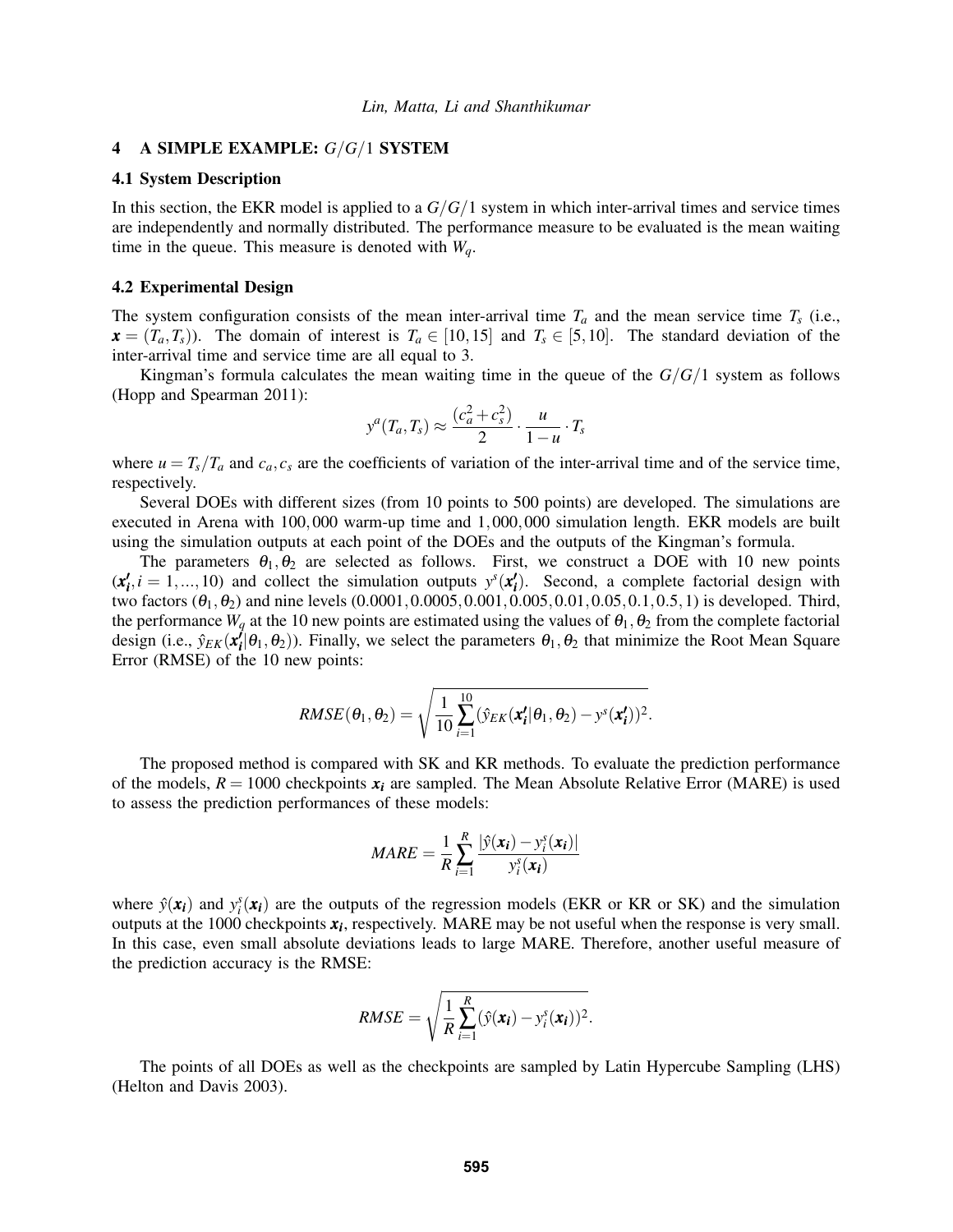### 4 A SIMPLE EXAMPLE: *G*/*G*/1 SYSTEM

### 4.1 System Description

In this section, the EKR model is applied to a *G*/*G*/1 system in which inter-arrival times and service times are independently and normally distributed. The performance measure to be evaluated is the mean waiting time in the queue. This measure is denoted with *Wq*.

#### 4.2 Experimental Design

The system configuration consists of the mean inter-arrival time  $T_a$  and the mean service time  $T_s$  (i.e.,  $\mathbf{x} = (T_a, T_s)$ ). The domain of interest is  $T_a \in [10, 15]$  and  $T_s \in [5, 10]$ . The standard deviation of the inter-arrival time and service time are all equal to 3.

Kingman's formula calculates the mean waiting time in the queue of the  $G/G/1$  system as follows (Hopp and Spearman 2011):

$$
y^{a}(T_a, T_s) \approx \frac{(c_a^2 + c_s^2)}{2} \cdot \frac{u}{1 - u} \cdot T_s
$$

where  $u = T_s/T_a$  and  $c_a, c_s$  are the coefficients of variation of the inter-arrival time and of the service time, respectively.

Several DOEs with different sizes (from 10 points to 500 points) are developed. The simulations are executed in Arena with 100,000 warm-up time and 1,000,000 simulation length. EKR models are built using the simulation outputs at each point of the DOEs and the outputs of the Kingman's formula.

The parameters  $\theta_1, \theta_2$  are selected as follows. First, we construct a DOE with 10 new points  $(x'_i, i = 1, \ldots, 10)$  and collect the simulation outputs  $y^s(x'_i)$ . Second, a complete factorial design with two factors  $(\theta_1, \theta_2)$  and nine levels  $(0.0001, 0.0005, 0.001, 0.005, 0.01, 0.05, 0.1, 0.5, 1)$  is developed. Third, the performance  $W_q$  at the 10 new points are estimated using the values of  $\theta_1, \theta_2$  from the complete factorial design (i.e.,  $\hat{y}_{EK}(x_i^f | \theta_1, \theta_2)$ ). Finally, we select the parameters  $\theta_1, \theta_2$  that minimize the Root Mean Square Error (RMSE) of the 10 new points:

$$
RMSE(\theta_1, \theta_2) = \sqrt{\frac{1}{10} \sum_{i=1}^{10} (\hat{y}_{EK}(\mathbf{x'_i}|\theta_1, \theta_2) - y^s(\mathbf{x'_i}))^2}.
$$

The proposed method is compared with SK and KR methods. To evaluate the prediction performance of the models,  $R = 1000$  checkpoints  $x_i$  are sampled. The Mean Absolute Relative Error (MARE) is used to assess the prediction performances of these models:

$$
MARE = \frac{1}{R} \sum_{i=1}^{R} \frac{|\hat{y}(\mathbf{x_i}) - y_i^s(\mathbf{x_i})|}{y_i^s(\mathbf{x_i})}
$$

where  $\hat{y}(\mathbf{x}_i)$  and  $y_i^s(\mathbf{x}_i)$  are the outputs of the regression models (EKR or KR or SK) and the simulation outputs at the 1000 checkpoints *x<sup>i</sup>* , respectively. MARE may be not useful when the response is very small. In this case, even small absolute deviations leads to large MARE. Therefore, another useful measure of the prediction accuracy is the RMSE:

$$
RMSE = \sqrt{\frac{1}{R}\sum_{i=1}^{R}(\hat{y}(\mathbf{x_i}) - y_i^s(\mathbf{x_i}))^2}.
$$

The points of all DOEs as well as the checkpoints are sampled by Latin Hypercube Sampling (LHS) (Helton and Davis 2003).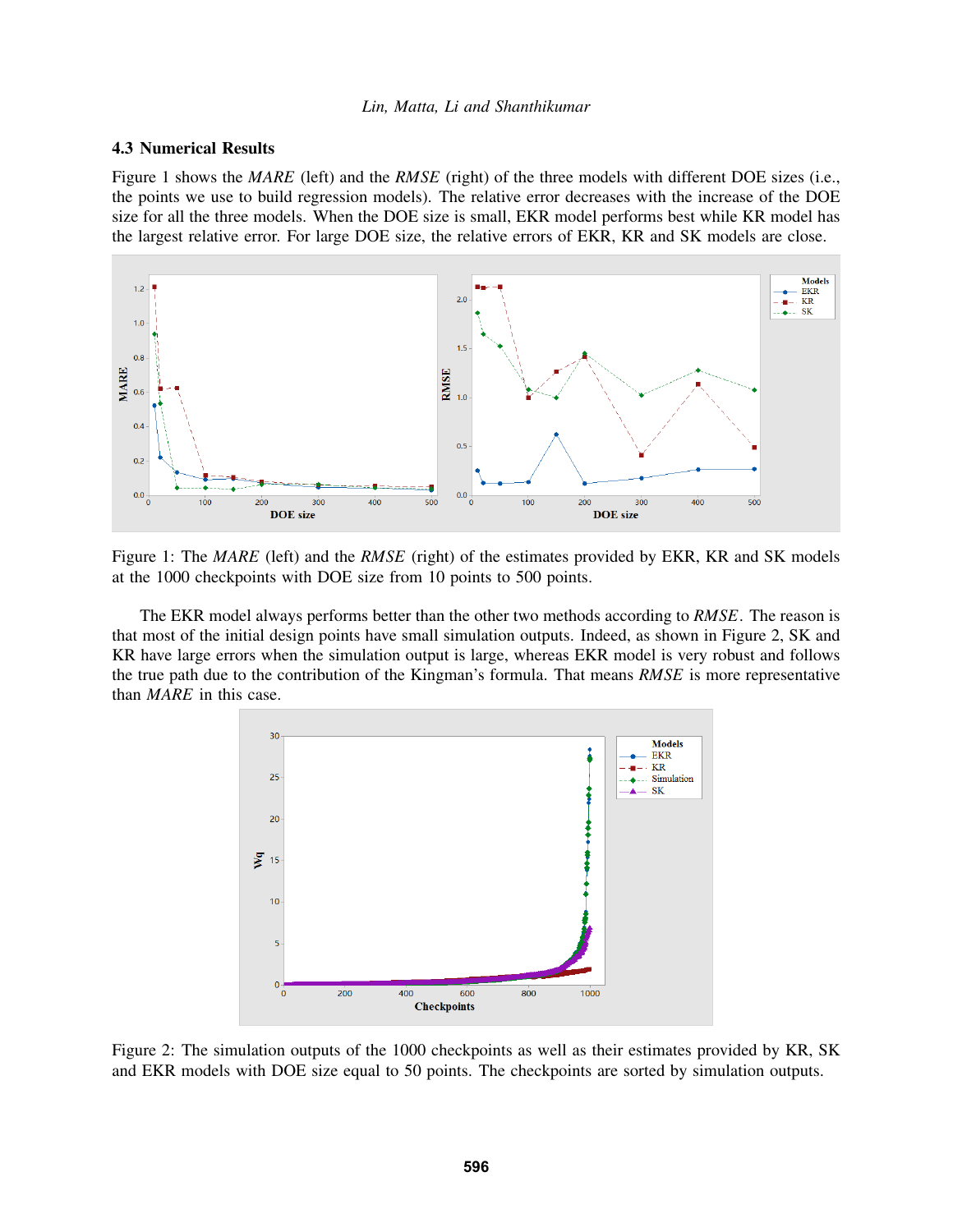### 4.3 Numerical Results

Figure 1 shows the *MARE* (left) and the *RMSE* (right) of the three models with different DOE sizes (i.e., the points we use to build regression models). The relative error decreases with the increase of the DOE size for all the three models. When the DOE size is small, EKR model performs best while KR model has the largest relative error. For large DOE size, the relative errors of EKR, KR and SK models are close.



Figure 1: The *MARE* (left) and the *RMSE* (right) of the estimates provided by EKR, KR and SK models at the 1000 checkpoints with DOE size from 10 points to 500 points.

The EKR model always performs better than the other two methods according to *RMSE*. The reason is that most of the initial design points have small simulation outputs. Indeed, as shown in Figure 2, SK and KR have large errors when the simulation output is large, whereas EKR model is very robust and follows the true path due to the contribution of the Kingman's formula. That means *RMSE* is more representative than *MARE* in this case.



Figure 2: The simulation outputs of the 1000 checkpoints as well as their estimates provided by KR, SK and EKR models with DOE size equal to 50 points. The checkpoints are sorted by simulation outputs.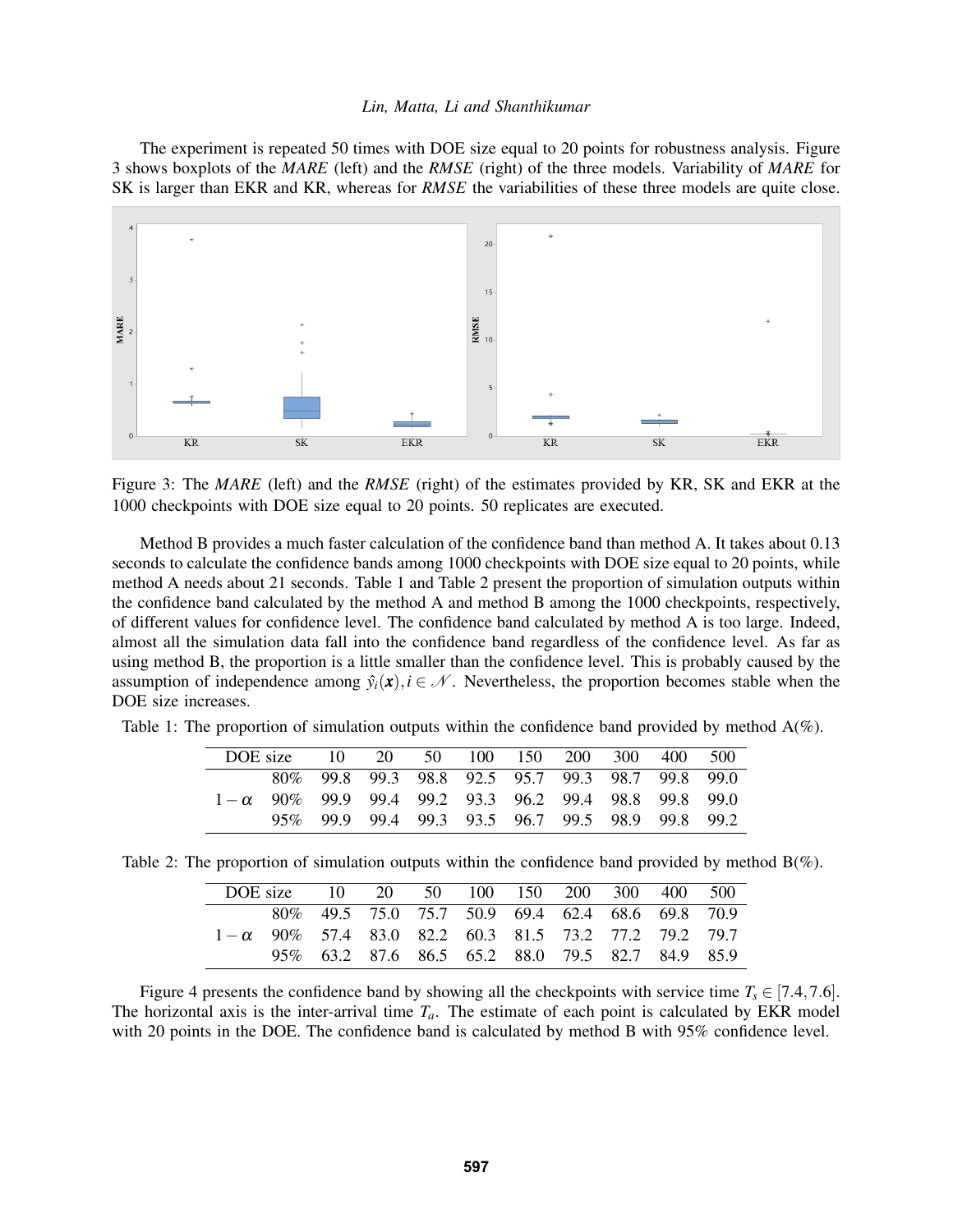The experiment is repeated 50 times with DOE size equal to 20 points for robustness analysis. Figure 3 shows boxplots of the *MARE* (left) and the *RMSE* (right) of the three models. Variability of *MARE* for SK is larger than EKR and KR, whereas for *RMSE* the variabilities of these three models are quite close.



Figure 3: The *MARE* (left) and the *RMSE* (right) of the estimates provided by KR, SK and EKR at the 1000 checkpoints with DOE size equal to 20 points. 50 replicates are executed.

Method B provides a much faster calculation of the confidence band than method A. It takes about 0.13 seconds to calculate the confidence bands among 1000 checkpoints with DOE size equal to 20 points, while method A needs about 21 seconds. Table 1 and Table 2 present the proportion of simulation outputs within the confidence band calculated by the method A and method B among the 1000 checkpoints, respectively, of different values for confidence level. The confidence band calculated by method A is too large. Indeed, almost all the simulation data fall into the confidence band regardless of the confidence level. As far as using method B, the proportion is a little smaller than the confidence level. This is probably caused by the assumption of independence among  $\hat{y}_i(\mathbf{x}), i \in \mathcal{N}$ . Nevertheless, the proportion becomes stable when the DOE size increases.

| DOE size |                                                              |  |  | 10 20 50 100 150 200 300 400 500 |  |
|----------|--------------------------------------------------------------|--|--|----------------------------------|--|
|          | 80\% 99.8 99.3 98.8 92.5 95.7 99.3 98.7 99.8 99.0            |  |  |                                  |  |
|          | $1-\alpha$ 90\% 99.9 99.4 99.2 93.3 96.2 99.4 98.8 99.8 99.0 |  |  |                                  |  |
|          | 95\% 99.9 99.4 99.3 93.5 96.7 99.5 98.9 99.8 99.2            |  |  |                                  |  |

Table 1: The proportion of simulation outputs within the confidence band provided by method A(%).

|  | Table 2: The proportion of simulation outputs within the confidence band provided by method $B(\%)$ . |  |  |  |  |
|--|-------------------------------------------------------------------------------------------------------|--|--|--|--|
|  |                                                                                                       |  |  |  |  |

| DOE size 10 20 50 100 150 200 300 400 500 |                                                             |                                                   |  |  |  |  |
|-------------------------------------------|-------------------------------------------------------------|---------------------------------------------------|--|--|--|--|
|                                           |                                                             | 80\% 49.5 75.0 75.7 50.9 69.4 62.4 68.6 69.8 70.9 |  |  |  |  |
|                                           | $1-\alpha$ 90% 57.4 83.0 82.2 60.3 81.5 73.2 77.2 79.2 79.7 |                                                   |  |  |  |  |
|                                           |                                                             | 95\% 63.2 87.6 86.5 65.2 88.0 79.5 82.7 84.9 85.9 |  |  |  |  |

Figure 4 presents the confidence band by showing all the checkpoints with service time  $T_s \in [7.4, 7.6]$ . The horizontal axis is the inter-arrival time  $T_a$ . The estimate of each point is calculated by EKR model with 20 points in the DOE. The confidence band is calculated by method B with 95% confidence level.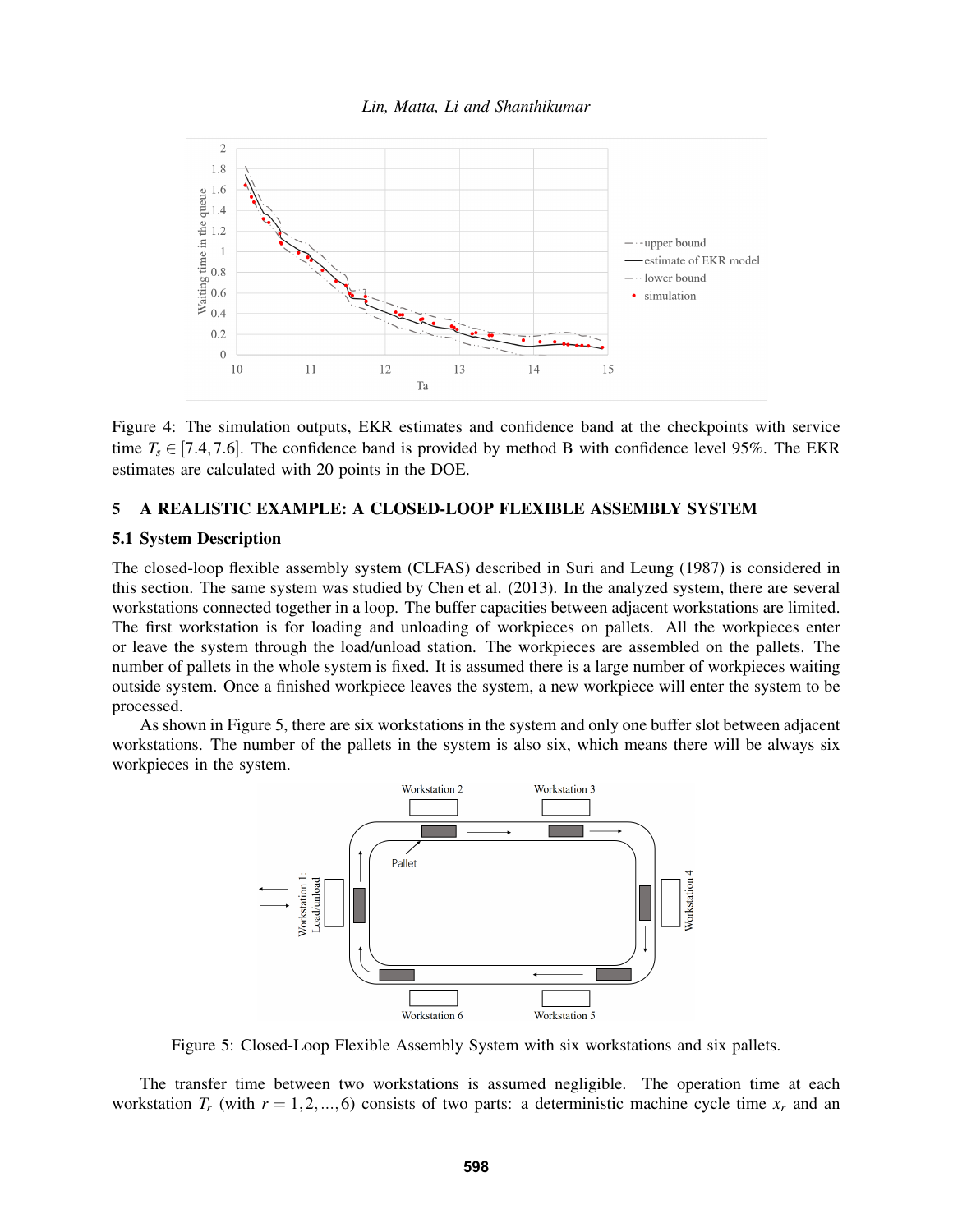

Figure 4: The simulation outputs, EKR estimates and confidence band at the checkpoints with service time  $T_s \in [7.4, 7.6]$ . The confidence band is provided by method B with confidence level 95%. The EKR estimates are calculated with 20 points in the DOE.

### 5 A REALISTIC EXAMPLE: A CLOSED-LOOP FLEXIBLE ASSEMBLY SYSTEM

### 5.1 System Description

The closed-loop flexible assembly system (CLFAS) described in Suri and Leung (1987) is considered in this section. The same system was studied by Chen et al. (2013). In the analyzed system, there are several workstations connected together in a loop. The buffer capacities between adjacent workstations are limited. The first workstation is for loading and unloading of workpieces on pallets. All the workpieces enter or leave the system through the load/unload station. The workpieces are assembled on the pallets. The number of pallets in the whole system is fixed. It is assumed there is a large number of workpieces waiting outside system. Once a finished workpiece leaves the system, a new workpiece will enter the system to be processed.

As shown in Figure 5, there are six workstations in the system and only one buffer slot between adjacent workstations. The number of the pallets in the system is also six, which means there will be always six workpieces in the system.



Figure 5: Closed-Loop Flexible Assembly System with six workstations and six pallets.

The transfer time between two workstations is assumed negligible. The operation time at each workstation  $T_r$  (with  $r = 1, 2, ..., 6$ ) consists of two parts: a deterministic machine cycle time  $x_r$  and an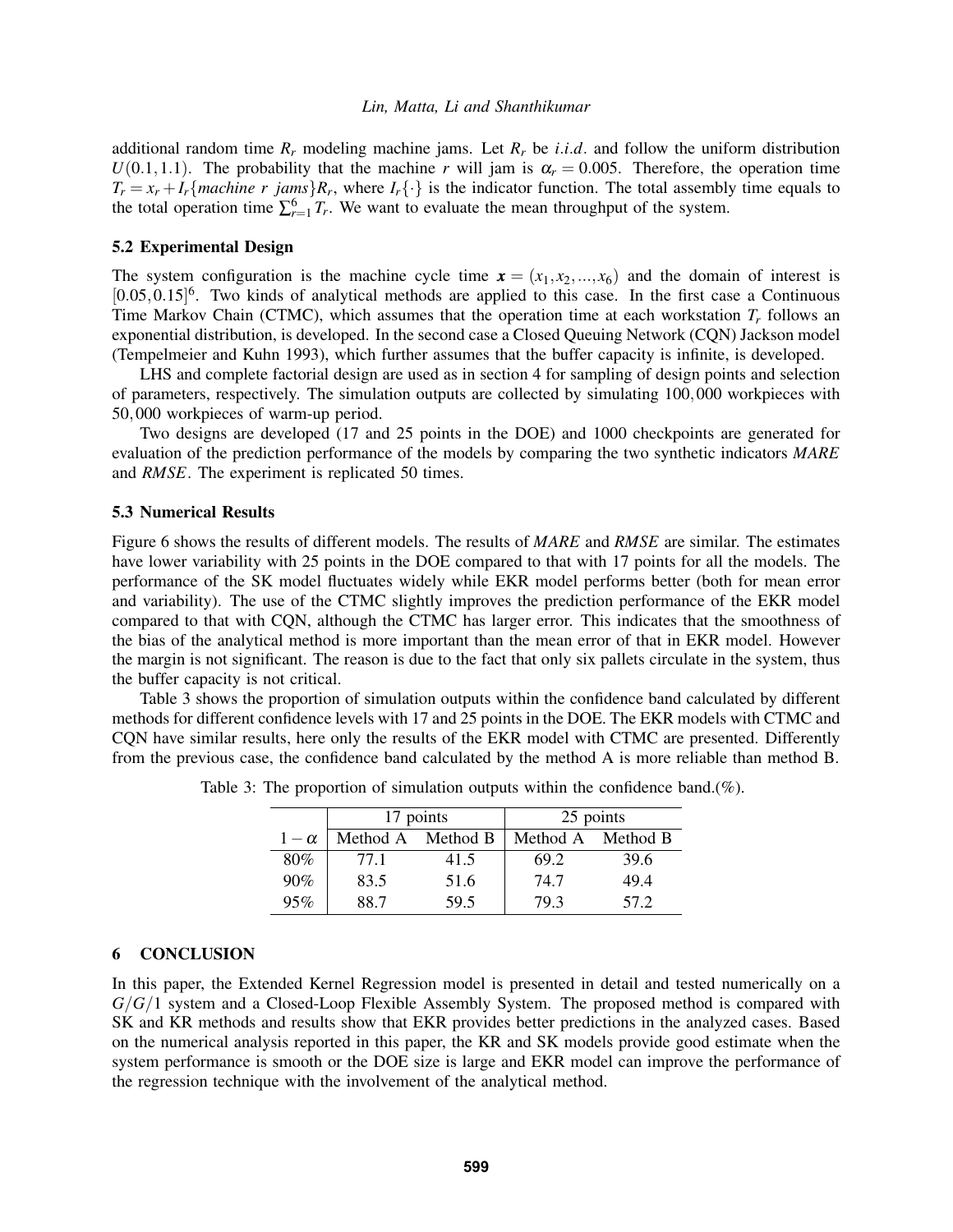additional random time  $R_r$  modeling machine jams. Let  $R_r$  be *i.i.d*. and follow the uniform distribution  $U(0.1, 1.1)$ . The probability that the machine *r* will jam is  $\alpha_r = 0.005$ . Therefore, the operation time  $T_r = x_r + I_r$  {*machine r jams*} $R_r$ , where  $I_r\{\cdot\}$  is the indicator function. The total assembly time equals to the total operation time  $\sum_{r=1}^{6} T_r$ . We want to evaluate the mean throughput of the system.

### 5.2 Experimental Design

The system configuration is the machine cycle time  $\mathbf{x} = (x_1, x_2, ..., x_6)$  and the domain of interest is  $[0.05, 0.15]$ <sup>6</sup>. Two kinds of analytical methods are applied to this case. In the first case a Continuous Time Markov Chain (CTMC), which assumes that the operation time at each workstation  $T_r$  follows an exponential distribution, is developed. In the second case a Closed Queuing Network (CQN) Jackson model (Tempelmeier and Kuhn 1993), which further assumes that the buffer capacity is infinite, is developed.

LHS and complete factorial design are used as in section 4 for sampling of design points and selection of parameters, respectively. The simulation outputs are collected by simulating 100,000 workpieces with 50,000 workpieces of warm-up period.

Two designs are developed (17 and 25 points in the DOE) and 1000 checkpoints are generated for evaluation of the prediction performance of the models by comparing the two synthetic indicators *MARE* and *RMSE*. The experiment is replicated 50 times.

#### 5.3 Numerical Results

Figure 6 shows the results of different models. The results of *MARE* and *RMSE* are similar. The estimates have lower variability with 25 points in the DOE compared to that with 17 points for all the models. The performance of the SK model fluctuates widely while EKR model performs better (both for mean error and variability). The use of the CTMC slightly improves the prediction performance of the EKR model compared to that with CQN, although the CTMC has larger error. This indicates that the smoothness of the bias of the analytical method is more important than the mean error of that in EKR model. However the margin is not significant. The reason is due to the fact that only six pallets circulate in the system, thus the buffer capacity is not critical.

Table 3 shows the proportion of simulation outputs within the confidence band calculated by different methods for different confidence levels with 17 and 25 points in the DOE. The EKR models with CTMC and CQN have similar results, here only the results of the EKR model with CTMC are presented. Differently from the previous case, the confidence band calculated by the method A is more reliable than method B.

|            |                   | 17 points | 25 points         |      |  |  |
|------------|-------------------|-----------|-------------------|------|--|--|
| $1-\alpha$ | Method A Method B |           | Method A Method B |      |  |  |
| 80%        | 77.1              | 41.5      | 69.2              | 39.6 |  |  |
| 90%        | 83.5              | 51.6      | 74.7              | 49.4 |  |  |
| 95%        | 88.7              | 59.5      | 79.3              | 57.2 |  |  |

Table 3: The proportion of simulation outputs within the confidence band.(%).

### 6 CONCLUSION

In this paper, the Extended Kernel Regression model is presented in detail and tested numerically on a *G*/*G*/1 system and a Closed-Loop Flexible Assembly System. The proposed method is compared with SK and KR methods and results show that EKR provides better predictions in the analyzed cases. Based on the numerical analysis reported in this paper, the KR and SK models provide good estimate when the system performance is smooth or the DOE size is large and EKR model can improve the performance of the regression technique with the involvement of the analytical method.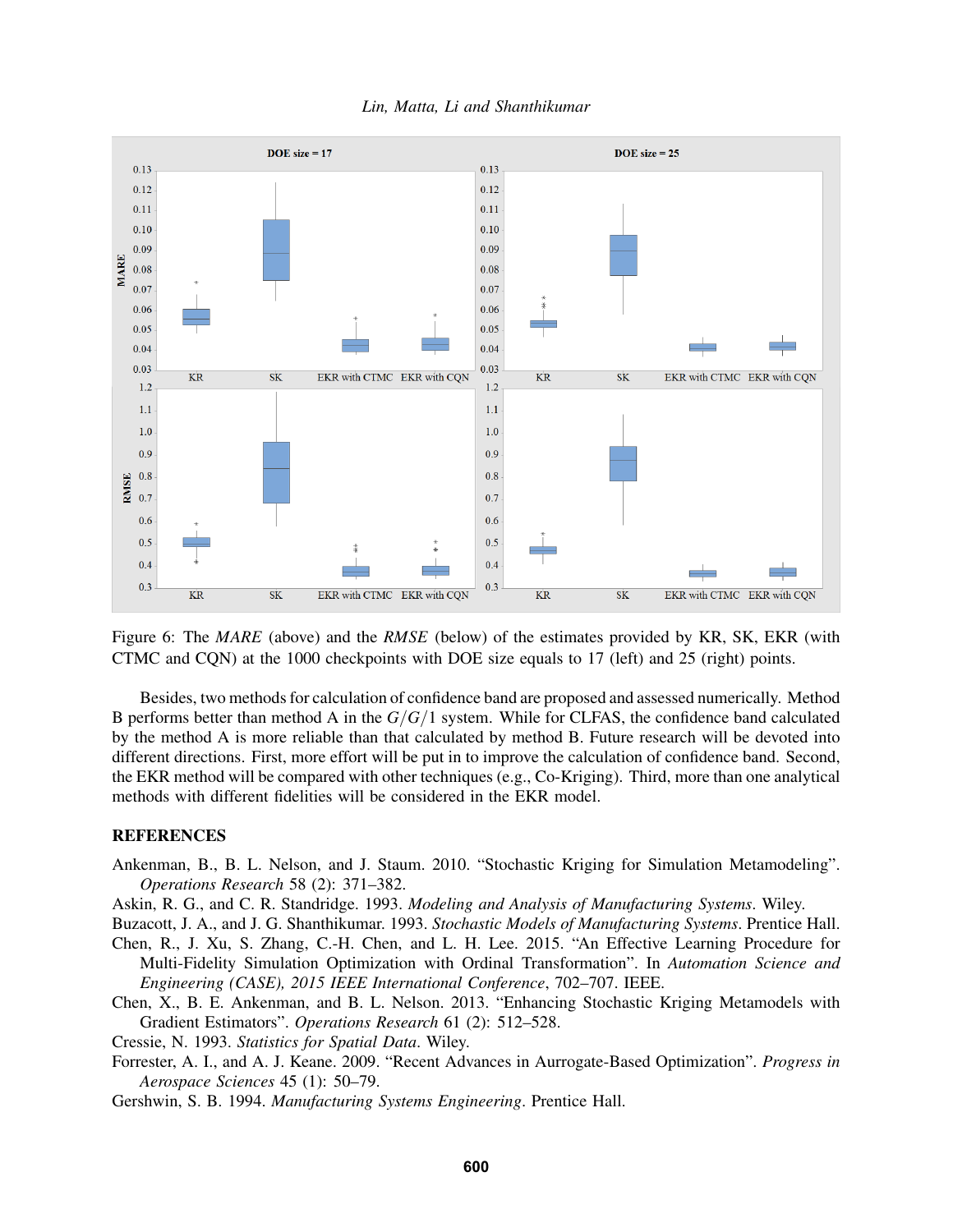

*Lin, Matta, Li and Shanthikumar*

Figure 6: The *MARE* (above) and the *RMSE* (below) of the estimates provided by KR, SK, EKR (with CTMC and CQN) at the 1000 checkpoints with DOE size equals to 17 (left) and 25 (right) points.

Besides, two methods for calculation of confidence band are proposed and assessed numerically. Method B performs better than method A in the *G*/*G*/1 system. While for CLFAS, the confidence band calculated by the method A is more reliable than that calculated by method B. Future research will be devoted into different directions. First, more effort will be put in to improve the calculation of confidence band. Second, the EKR method will be compared with other techniques (e.g., Co-Kriging). Third, more than one analytical methods with different fidelities will be considered in the EKR model.

### REFERENCES

- Ankenman, B., B. L. Nelson, and J. Staum. 2010. "Stochastic Kriging for Simulation Metamodeling". *Operations Research* 58 (2): 371–382.
- Askin, R. G., and C. R. Standridge. 1993. *Modeling and Analysis of Manufacturing Systems*. Wiley.

Buzacott, J. A., and J. G. Shanthikumar. 1993. *Stochastic Models of Manufacturing Systems*. Prentice Hall.

- Chen, R., J. Xu, S. Zhang, C.-H. Chen, and L. H. Lee. 2015. "An Effective Learning Procedure for Multi-Fidelity Simulation Optimization with Ordinal Transformation". In *Automation Science and Engineering (CASE), 2015 IEEE International Conference*, 702–707. IEEE.
- Chen, X., B. E. Ankenman, and B. L. Nelson. 2013. "Enhancing Stochastic Kriging Metamodels with Gradient Estimators". *Operations Research* 61 (2): 512–528.
- Cressie, N. 1993. *Statistics for Spatial Data*. Wiley.
- Forrester, A. I., and A. J. Keane. 2009. "Recent Advances in Aurrogate-Based Optimization". *Progress in Aerospace Sciences* 45 (1): 50–79.
- Gershwin, S. B. 1994. *Manufacturing Systems Engineering*. Prentice Hall.